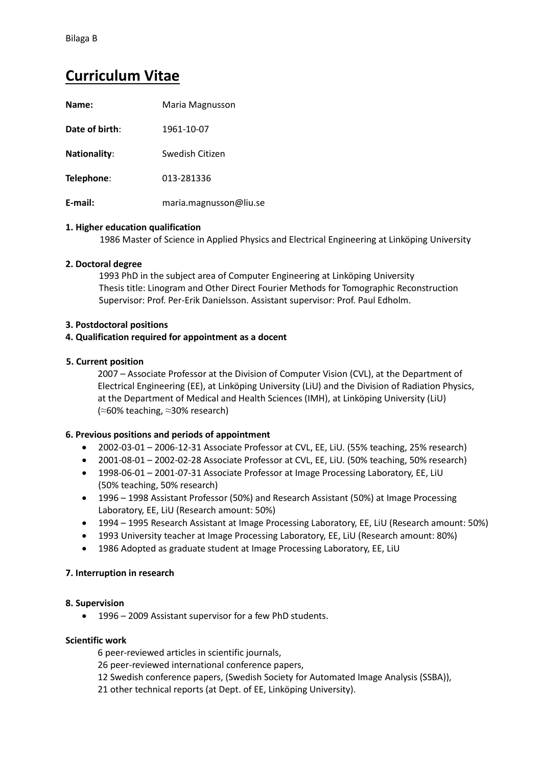# **Curriculum Vitae**

| Name:               | Maria Magnusson        |
|---------------------|------------------------|
| Date of birth:      | 1961-10-07             |
| <b>Nationality:</b> | Swedish Citizen        |
| Telephone:          | 013-281336             |
| E-mail:             | maria.magnusson@liu.se |

## **1. Higher education qualification**

1986 Master of Science in Applied Physics and Electrical Engineering at Linköping University

## **2. Doctoral degree**

1993 PhD in the subject area of Computer Engineering at Linköping University Thesis title: Linogram and Other Direct Fourier Methods for Tomographic Reconstruction Supervisor: Prof. Per-Erik Danielsson. Assistant supervisor: Prof. Paul Edholm.

## **3. Postdoctoral positions**

## **4. Qualification required for appointment as a docent**

## **5. Current position**

2007 – Associate Professor at the Division of Computer Vision (CVL), at the Department of Electrical Engineering (EE), at Linköping University (LiU) and the Division of Radiation Physics, at the Department of Medical and Health Sciences (IMH), at Linköping University (LiU) (≈60% teaching, ≈30% research)

# **6. Previous positions and periods of appointment**

- 2002-03-01 2006-12-31 Associate Professor at CVL, EE, LiU. (55% teaching, 25% research)
- 2001-08-01 2002-02-28 Associate Professor at CVL, EE, LiU. (50% teaching, 50% research)
- 1998-06-01 2001-07-31 Associate Professor at Image Processing Laboratory, EE, LiU (50% teaching, 50% research)
- 1996 1998 Assistant Professor (50%) and Research Assistant (50%) at Image Processing Laboratory, EE, LiU (Research amount: 50%)
- 1994 1995 Research Assistant at Image Processing Laboratory, EE, LiU (Research amount: 50%)
- 1993 University teacher at Image Processing Laboratory, EE, LiU (Research amount: 80%)
- 1986 Adopted as graduate student at Image Processing Laboratory, EE, LiU

#### **7. Interruption in research**

#### **8. Supervision**

1996 – 2009 Assistant supervisor for a few PhD students.

#### **Scientific work**

6 peer-reviewed articles in scientific journals,

- 26 peer-reviewed international conference papers,
- 12 Swedish conference papers, (Swedish Society for Automated Image Analysis (SSBA)),
- 21 other technical reports (at Dept. of EE, Linköping University).